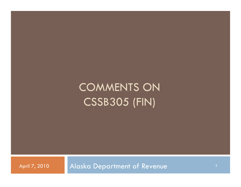# COMMENTS ON CSSB305 (FIN)

April 7, 2010 **Alaska Department of Revenue**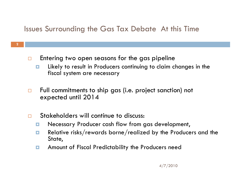### Issues Surrounding the Gas Tax Debate At this Time

- $\Box$  Entering two open seasons for the gas pipeline
	- $\Box$  Likely to result in Producers continuing to claim changes in the fiscal system are necessary
- $\Box$  Full commitments to ship gas (i.e. project sanction) not expected until 2014
- $\Box$ Stakeholders will continue to discuss:

**2**

- $\blacksquare$ Necessary Producer cash flow from gas development,
- $\Box$  Relative risks/rewards borne/realized by the Producers and the State,
- $\Box$ Amount of Fiscal Predictability the Producers need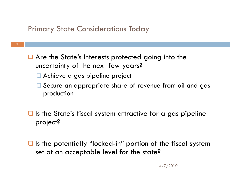#### Primary State Considerations Today

- **3**
- $\Box$  Are the State's Interests protected going into the uncertainty of the next few years?
	- Achieve a gas pipeline project
	- Secure an appropriate share of revenue from oil and gas production
- $\Box$  Is the State's fiscal system attractive for a gas pipeline project?
- $\blacksquare$  Is the potentially "locked-in" portion of the fiscal system set at an acceptable level for the state?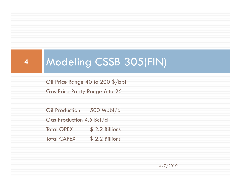## Modeling CSSB 305(FIN)

Oil Price Range 40 to 200 \$/bbl Modeling CSSB<br>Oil Price Range 40 to 200 \$/b<br>Gas Price Parity Range 6 to 26

**4**

Oil Production 500 Mbbl/d Gas Production 4.5 Bcf/d Total OPEX \$ 2.2 Billions Total CAPEX \$ 2.2 Billions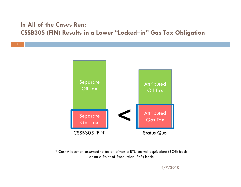#### **In All of the Cases Run:CSSB305 (FIN) Results in a Lower "Locked-in" Gas Tax Obligation**

**5**



\* Cost Allocation assumed to be on either a BTU barrel equivalent (BOE) basis or on a Point of Production (PoP) basis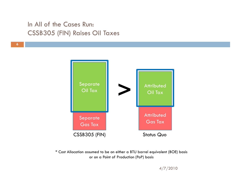#### In All of the Cases Run: CSSB305 (FIN) Raises Oil Taxes

**6**



\* Cost Allocation assumed to be on either a BTU barrel equivalent (BOE) basis or on a Point of Production (PoP) basis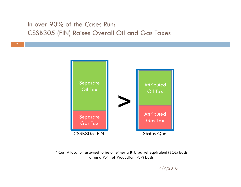#### In over 90% of the Cases Run: CSSB305 (FIN) Raises Overall Oil and Gas Taxes

**7**



\* Cost Allocation assumed to be on either a BTU barrel equivalent (BOE) basis or on a Point of Production (PoP) basis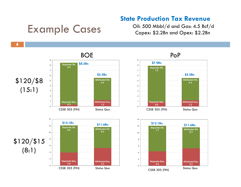#### **State Production Tax Revenue**

### Example Cases

Oil: 500 Mbbl/d and Gas: 4.5 Bcf/d Capex: \$2.2Bn and Opex: \$2.2Bn







*Total Opex = US\$2.2Bn and Total Capex = US\$2.2Bn allocated based on Value at Point of Production*